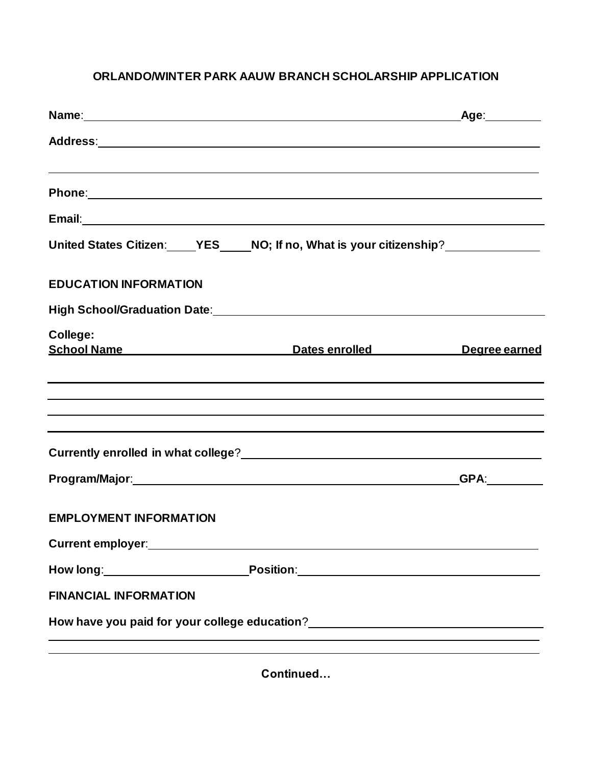## **ORLANDO/WINTER PARK AAUW BRANCH SCHOLARSHIP APPLICATION**

| Name: Name:                                                                                                     |                                                                                  | Age:_________ |
|-----------------------------------------------------------------------------------------------------------------|----------------------------------------------------------------------------------|---------------|
|                                                                                                                 |                                                                                  |               |
|                                                                                                                 |                                                                                  |               |
|                                                                                                                 |                                                                                  |               |
|                                                                                                                 | United States Citizen: YES____NO; If no, What is your citizenship?______________ |               |
| <b>EDUCATION INFORMATION</b>                                                                                    |                                                                                  |               |
|                                                                                                                 | High School/Graduation Date: Manual Communication of the School/Graduation Date: |               |
| College:                                                                                                        | School Name Dates enrolled Degree earned                                         |               |
|                                                                                                                 | ,我们也不会有什么。""我们的人,我们也不会有什么?""我们的人,我们也不会有什么?""我们的人,我们也不会有什么?""我们的人,我们也不会有什么?""我们的人 |               |
| the contract of the contract of the contract of the contract of the contract of the contract of the contract of |                                                                                  |               |
|                                                                                                                 |                                                                                  | <b>GPA:</b>   |
| <b>EMPLOYMENT INFORMATION</b>                                                                                   |                                                                                  |               |
|                                                                                                                 |                                                                                  |               |
|                                                                                                                 |                                                                                  |               |
| <b>FINANCIAL INFORMATION</b>                                                                                    |                                                                                  |               |
|                                                                                                                 |                                                                                  |               |
|                                                                                                                 |                                                                                  |               |

**Continued…**